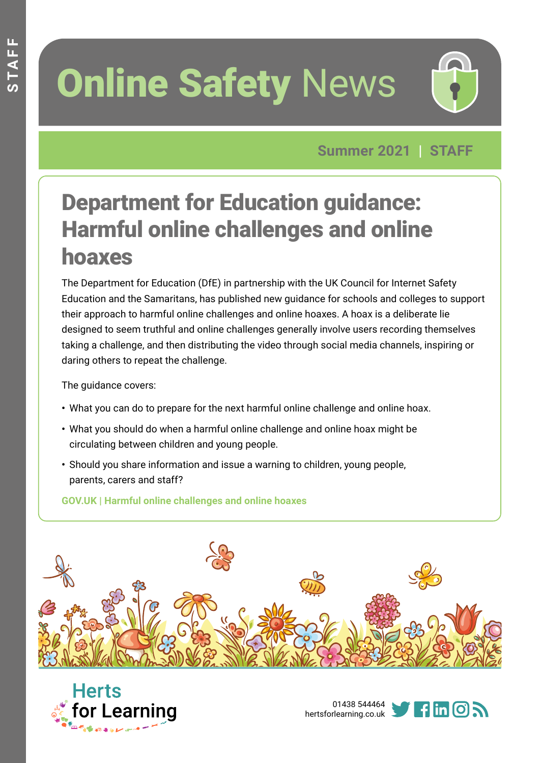# **Online Safety News**



**Summer 2021 | STAFF**

### Department for Education guidance: Harmful online challenges and online hoaxes

The Department for Education (DfE) in partnership with the UK Council for Internet Safety Education and the Samaritans, has published new guidance for schools and colleges to support their approach to harmful online challenges and online hoaxes. A hoax is a deliberate lie designed to seem truthful and online challenges generally involve users recording themselves taking a challenge, and then distributing the video through social media channels, inspiring or daring others to repeat the challenge.

The guidance covers:

- **•** What you can do to prepare for the next harmful online challenge and online hoax.
- **•** What you should do when a harmful online challenge and online hoax might be circulating between children and young people.
- **•** Should you share information and issue a warning to children, young people, parents, carers and staff?

**[GOV.UK | Harmful online challenges and online hoaxes](https://www.gov.uk/government/publications/harmful-online-challenges-and-online-hoaxes/harmful-online-challenges-and-online-hoaxes#what-you-can-do-to-prepare-for-the-next-harmful-online-challenge-and-online-hoax)**







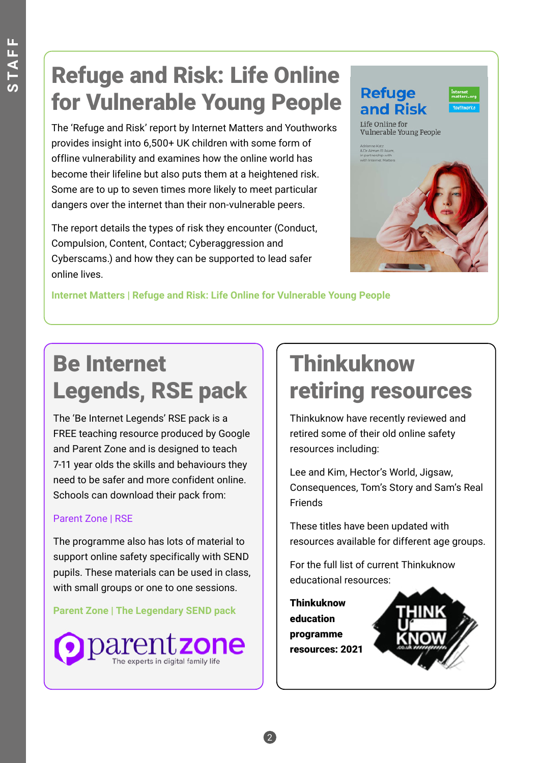### Refuge and Risk: Life Online for Vulnerable Young People

The 'Refuge and Risk' report by Internet Matters and Youthworks provides insight into 6,500+ UK children with some form of offline vulnerability and examines how the online world has become their lifeline but also puts them at a heightened risk. Some are to up to seven times more likely to meet particular dangers over the internet than their non-vulnerable peers.

The report details the types of risk they encounter (Conduct, Compulsion, Content, Contact; Cyberaggression and Cyberscams.) and how they can be supported to lead safer online lives.



**[Internet Matters | Refuge and Risk: Life Online for Vulnerable Young People](https://www.internetmatters.org/wp-content/uploads/2021/01/Internet-Matters-Refuge-And-Risk-Report.pdf)**

# Be Internet Legends, RSE pack

The 'Be Internet Legends' RSE pack is a FREE teaching resource produced by Google and Parent Zone and is designed to teach 7-11 year olds the skills and behaviours they need to be safer and more confident online. Schools can download their pack from:

#### [Parent Zone | RSE](https://parentzone.org.uk/rse)

The programme also has lots of material to support online safety specifically with SEND pupils. These materials can be used in class, with small groups or one to one sessions.

#### **[Parent Zone | The Legendary SEND pack](https://parentzone.org.uk/legendarysendpack)**



### Thinkuknow retiring resources

Thinkuknow have recently reviewed and retired some of their old online safety resources including:

Lee and Kim, Hector's World, Jigsaw, Consequences, Tom's Story and Sam's Real Friends

These titles have been updated with resources available for different age groups.

For the full list of current Thinkuknow educational reso[urces:](https://www.thinkuknow.co.uk/globalassets/professional/resources/thinkuknow-resources-list-2021.pdf?utm_source=Thinkuknow&utm_campaign=5536719aae-TUK_GLOBAL_24_02_21&utm_medium=email&utm_term=0_0b54505554-5536719aae-55209789)

[Thinkuknow](https://www.thinkuknow.co.uk/globalassets/professional/resources/thinkuknow-resources-list-2021.pdf?utm_source=Thinkuknow&utm_campaign=5536719aae-TUK_GLOBAL_24_02_21&utm_medium=email&utm_term=0_0b54505554-5536719aae-55209789)  [education](https://www.thinkuknow.co.uk/globalassets/professional/resources/thinkuknow-resources-list-2021.pdf?utm_source=Thinkuknow&utm_campaign=5536719aae-TUK_GLOBAL_24_02_21&utm_medium=email&utm_term=0_0b54505554-5536719aae-55209789)  [programme](https://www.thinkuknow.co.uk/globalassets/professional/resources/thinkuknow-resources-list-2021.pdf?utm_source=Thinkuknow&utm_campaign=5536719aae-TUK_GLOBAL_24_02_21&utm_medium=email&utm_term=0_0b54505554-5536719aae-55209789)  [resources: 2021](https://www.thinkuknow.co.uk/globalassets/professional/resources/thinkuknow-resources-list-2021.pdf?utm_source=Thinkuknow&utm_campaign=5536719aae-TUK_GLOBAL_24_02_21&utm_medium=email&utm_term=0_0b54505554-5536719aae-55209789)

2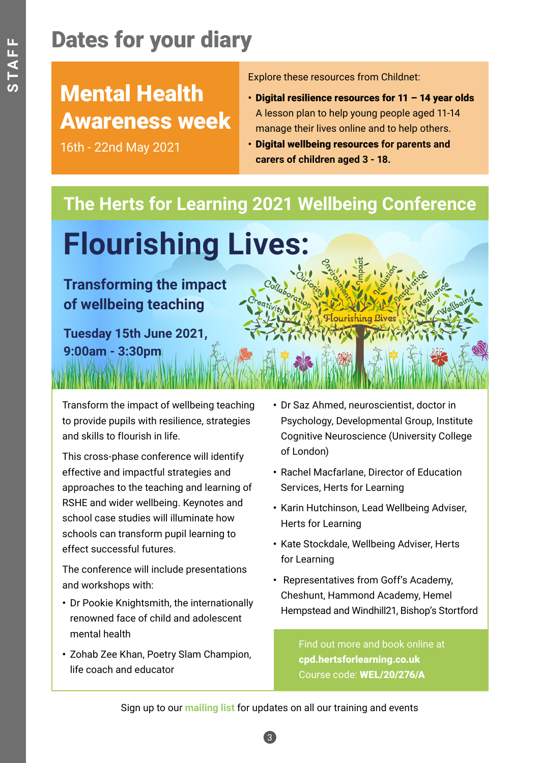# Dates for your diary

### Mental Health Awareness week

16th - 22nd May 2021

Explore these resources from Childnet:

- **•** [Digital resilience resources for 11 14 year olds](https://www.childnet.com/resources/digital-resilience)  A lesson plan to help young people aged 11-14 manage their lives online and to help others.
- **•** [Digital wellbeing resources](https://www.childnet.com/resources/digital-resilience) **for parents and carers of children aged 3 - 18.**

#### **The Herts for Learning 2021 Wellbeing Conference**

# **Flourishing Lives:**

#### **Transforming the impact of wellbeing teaching**

**Tuesday 15th June 2021, 9:00am - 3:30pm**

Transform the impact of wellbeing teaching to provide pupils with resilience, strategies and skills to flourish in life.

This cross-phase conference will identify effective and impactful strategies and approaches to the teaching and learning of RSHE and wider wellbeing. Keynotes and school case studies will illuminate how schools can transform pupil learning to effect successful futures.

The conference will include presentations and workshops with:

- **•** Dr Pookie Knightsmith, the internationally renowned face of child and adolescent mental health
- **•** Zohab Zee Khan, Poetry Slam Champion, life coach and educator
- **•** Dr Saz Ahmed, neuroscientist, doctor in Psychology, Developmental Group, Institute Cognitive Neuroscience (University College of London)
- **•** Rachel Macfarlane, Director of Education Services, Herts for Learning
- **•** Karin Hutchinson, Lead Wellbeing Adviser, Herts for Learning
- **•** Kate Stockdale, Wellbeing Adviser, Herts for Learning
- **•** Representatives from Goff's Academy, Cheshunt, Hammond Academy, Hemel Hempstead and Windhill21, Bishop's Stortford

Find out more and book online at [cpd.hertsforlearning.co.uk](https://cpd.hertsforlearning.co.uk/courses/bookings/c_detail.asp?cid=15985&iscancelled=0&curpage=&keyword=&ds=&unconfirmed=&waiting=&cs=&subid=&keystage=0&sdate=&searchcode=&asearch=&tutid=&phid=&estid=&sday=&smonth=&syear=&targetid=&cal=1&calday=15&calmonth=6&calyear=2021&caldate=&submonth=&subyear=&list=&palist=&frompage=&a=&b=&c=&d=&s_leaid=) Course code: [WEL/20/276/A](https://cpd.hertsforlearning.co.uk/courses/bookings/c_detail.asp?cid=15985&iscancelled=0&curpage=&keyword=&ds=&unconfirmed=&waiting=&cs=&subid=&keystage=0&sdate=&searchcode=&asearch=&tutid=&phid=&estid=&sday=&smonth=&syear=&targetid=&cal=1&calday=15&calmonth=6&calyear=2021&caldate=&submonth=&subyear=&list=&palist=&frompage=&a=&b=&c=&d=&s_leaid=)

Sign up to our **mailing list** [for updates on all our training and events](http://bit.ly/SubscribeHfLCPD)